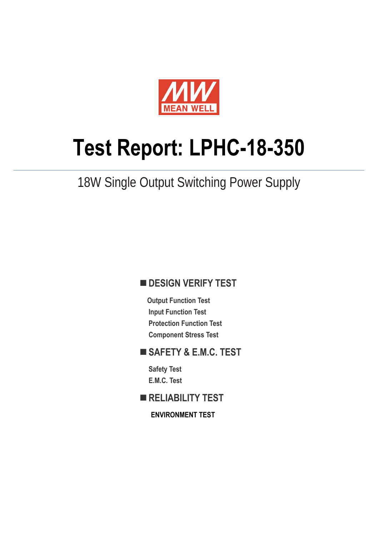

# **Test Report: LPHC-18-350**

## 18W Single Output Switching Power Supply

#### **DESIGN VERIFY TEST**

**Output Function Test Input Function Test Protection Function Test Component Stress Test** 

#### **SAFETY & E.M.C. TEST**

**Safety Test E.M.C. Test** 

**RELIABILITY TEST** 

**ENVIRONMENT TEST**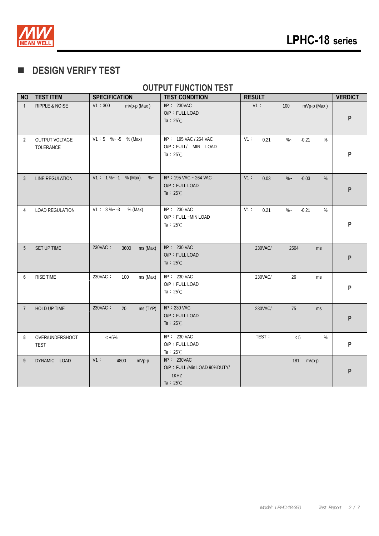

#### **DESIGN VERIFY TEST**

#### **OUTPUT FUNCTION TEST**

| <b>NO</b>      | <b>TEST ITEM</b>               | <b>SPECIFICATION</b>            | <b>TEST CONDITION</b>                                                         | <b>RESULT</b>                               | <b>VERDICT</b> |
|----------------|--------------------------------|---------------------------------|-------------------------------------------------------------------------------|---------------------------------------------|----------------|
| $\mathbf{1}$   | RIPPLE & NOISE                 | V1:300<br>mVp-p (Max)           | $I/P$ : 230VAC<br>O/P: FULL LOAD<br>Ta : $25^{\circ}$ C                       | V1:<br>100<br>mVp-p (Max)                   | P              |
| $\overline{2}$ | OUTPUT VOLTAGE<br>TOLERANCE    | $V1:5$ % - -5 % (Max)           | I/P: 195 VAC / 264 VAC<br>O/P : FULL/ MIN LOAD<br>Ta : $25^{\circ}$ C         | $V1$ :<br>$\% -$<br>$-0.21$<br>$\%$<br>0.21 | P              |
| 3              | <b>LINE REGULATION</b>         | $V1: 1\% - 1$ % (Max)<br>$\%$ ~ | I/P: 195 VAC ~ 264 VAC<br>O/P: FULL LOAD<br>Ta : $25^{\circ}$ C               | V1:<br>0.03<br>$\%$ ~<br>$-0.03$<br>%       | P              |
| 4              | <b>LOAD REGULATION</b>         | $V1: 3\%~3$<br>% (Max)          | I/P: 230 VAC<br>O/P: FULL ~MIN LOAD<br>Ta : $25^{\circ}$ C                    | V1:<br>$-0.21$<br>%<br>0.21<br>$\%$ ~       | P              |
| 5              | SET UP TIME                    | 230VAC:<br>3600<br>ms (Max)     | $I/P$ : 230 VAC<br>O/P: FULL LOAD<br>Ta : $25^{\circ}$ C                      | 230VAC/<br>2504<br>ms                       | P              |
| 6              | <b>RISE TIME</b>               | 230VAC:<br>100<br>ms (Max)      | I/P: 230 VAC<br>O/P: FULL LOAD<br>Ta : $25^{\circ}$ C                         | 26<br>230VAC/<br>ms                         | P              |
| $\overline{7}$ | HOLD UP TIME                   | 230VAC:<br>20<br>ms (TYP)       | I/P: 230 VAC<br>O/P: FULL LOAD<br>Ta : $25^{\circ}$ C                         | 230VAC/<br>75<br>ms                         | P              |
| 8              | OVER/UNDERSHOOT<br><b>TEST</b> | $< +5\%$                        | I/P: 230 VAC<br>O/P: FULL LOAD<br>Ta : $25^{\circ}$ C                         | TEST:<br>< 5<br>%                           | P              |
| 9              | DYNAMIC LOAD                   | $V1$ :<br>4800<br>mVp-p         | $I/P$ : 230VAC<br>O/P: FULL /Min LOAD 90%DUTY/<br>1KHZ<br>Ta : $25^{\circ}$ C | 181<br>mVp-p                                | P              |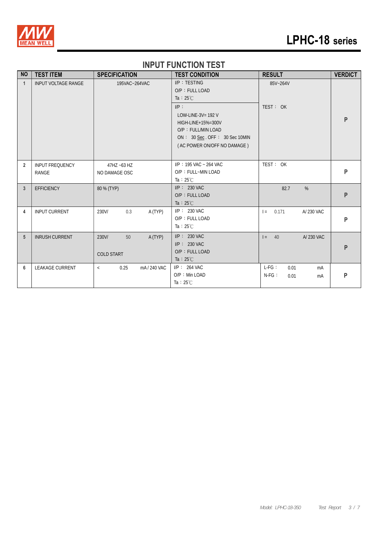

## **LPHC-18 series**

#### **INPUT FUNCTION TEST**

| <b>NO</b>      | <b>TEST ITEM</b>                | <b>SPECIFICATION</b>                        | <b>TEST CONDITION</b>                                                                                                                                                                                | <b>RESULT</b>                                   | <b>VERDICT</b> |
|----------------|---------------------------------|---------------------------------------------|------------------------------------------------------------------------------------------------------------------------------------------------------------------------------------------------------|-------------------------------------------------|----------------|
| $\mathbf{1}$   | <b>INPUT VOLTAGE RANGE</b>      | 195VAC~264VAC                               | I/P: TESTING<br>O/P: FULL LOAD<br>Ta : $25^{\circ}$ C<br>$I/P$ :<br>LOW-LINE-3V= $192$ V<br>HIGH-LINE+15%=300V<br>O/P: FULL/MIN LOAD<br>ON: 30 Sec. OFF: 30 Sec 10MIN<br>(AC POWER ON/OFF NO DAMAGE) | 85V~264V<br>TEST: OK                            | P              |
| $\overline{2}$ | <b>INPUT FREQUENCY</b><br>RANGE | 47HZ ~63 HZ<br>NO DAMAGE OSC                | $IP: 195$ VAC ~ 264 VAC<br>O/P: FULL~MIN LOAD<br>Ta : $25^{\circ}$ C                                                                                                                                 | TEST: OK                                        | $\mathsf{P}$   |
| 3              | <b>EFFICIENCY</b>               | 80 % (TYP)                                  | $I/P$ : 230 VAC<br>O/P: FULL LOAD<br>Ta : $25^{\circ}$ C                                                                                                                                             | %<br>82.7                                       | ${\sf P}$      |
| 4              | <b>INPUT CURRENT</b>            | 230V/<br>0.3<br>A (TYP)                     | $I/P$ : 230 VAC<br>O/P: FULL LOAD<br>Ta : $25^{\circ}$ C                                                                                                                                             | 0.171<br>A/230 VAC<br>$=$                       | P              |
| 5              | <b>INRUSH CURRENT</b>           | A (TYP)<br>230V/<br>50<br><b>COLD START</b> | $I/P$ : 230 VAC<br>$IP: 230$ VAC<br>O/P: FULL LOAD<br>Ta : $25^{\circ}$ C                                                                                                                            | $I = 40$<br>A/230 VAC                           | P              |
| 6              | <b>LEAKAGE CURRENT</b>          | 0.25<br>mA/240 VAC<br>$\,<\,$               | $I/P$ : 264 VAC<br>O/P: Min LOAD<br>Ta: $25^{\circ}$ C                                                                                                                                               | $L-FG:$<br>0.01<br>mA<br>$N-FG$ :<br>0.01<br>mA | ${\sf P}$      |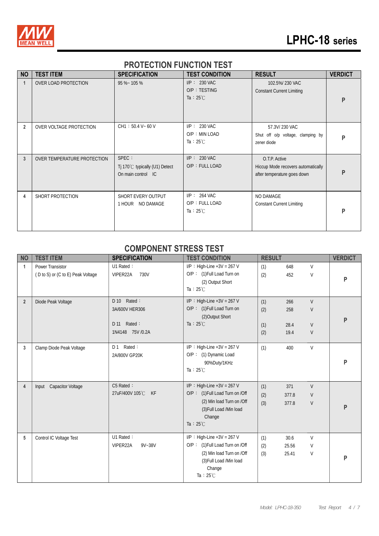

## **LPHC-18 series**

#### **PROTECTION FUNCTION TEST**

| <b>NO</b>      | <b>TEST ITEM</b>            | <b>SPECIFICATION</b>                                          | <b>TEST CONDITION</b>                                    | <b>RESULT</b>                                                                      | <b>VERDICT</b> |
|----------------|-----------------------------|---------------------------------------------------------------|----------------------------------------------------------|------------------------------------------------------------------------------------|----------------|
| $\mathbf{1}$   | OVER LOAD PROTECTION        | 95 %~ 105 %                                                   | $I/P: 230$ VAC<br>O/P: TESTING<br>Ta : $25^{\circ}$ C    | 102.5%/230 VAC<br><b>Constant Current Limiting</b>                                 | P              |
| $\overline{2}$ | OVER VOLTAGE PROTECTION     | $CH1: 50.4 V - 60 V$                                          | $I/P: 230$ VAC<br>O/P: MIN LOAD<br>Ta : $25^{\circ}$ C   | 57.3V/230 VAC<br>Shut off o/p voltage, clamping by<br>zener diode                  | P              |
| 3              | OVER TEMPERATURE PROTECTION | SPEC :<br>Tj 170℃ typically (U1) Detect<br>On main control IC | $I/P: 230$ VAC<br>O/P: FULL LOAD                         | O.T.P. Active<br>Hiccup Mode recovers automatically<br>after temperature goes down | P              |
| 4              | SHORT PROTECTION            | SHORT EVERY OUTPUT<br>1 HOUR NO DAMAGE                        | $I/P$ : 264 VAC<br>O/P: FULL LOAD<br>Ta : $25^{\circ}$ C | NO DAMAGE<br><b>Constant Current Limiting</b>                                      | P              |

#### **COMPONENT STRESS TEST**

| <b>NO</b>      | <b>TEST ITEM</b>                                      | <b>SPECIFICATION</b>                                              | <b>TEST CONDITION</b>                                                                                                                                     | <b>RESULT</b>            |                            |                  | <b>VERDICT</b> |
|----------------|-------------------------------------------------------|-------------------------------------------------------------------|-----------------------------------------------------------------------------------------------------------------------------------------------------------|--------------------------|----------------------------|------------------|----------------|
| 1              | Power Transistor<br>(D to S) or (C to E) Peak Voltage | U1 Rated:<br>VIPER22A<br>730V                                     | $I/P$ : High-Line +3V = 267 V<br>O/P: (1) Full Load Turn on<br>(2) Output Short<br>Ta : $25^{\circ}$ C                                                    | (1)<br>(2)               | 648<br>452                 | $\vee$<br>V      | P              |
| $\overline{2}$ | Diode Peak Voltage                                    | D 10 Rated:<br>3A/600V HER306<br>D 11 Rated:<br>1N4148 75V / 0.2A | $I/P$ : High-Line +3V = 267 V<br>O/P: (1) Full Load Turn on<br>(2) Output Short<br>Ta : $25^{\circ}$ C                                                    | (1)<br>(2)<br>(1)<br>(2) | 266<br>258<br>28.4<br>19.4 | V<br>V<br>V<br>V | P              |
| 3              | Clamp Diode Peak Voltage                              | Rated:<br>D <sub>1</sub><br>2A/800V GP20K                         | $I/P$ : High-Line +3V = 267 V<br>O/P: (1) Dynamic Load<br>90%Duty/1KHz<br>Ta : $25^{\circ}$ C                                                             | (1)                      | 400                        | $\vee$           | P              |
| $\overline{4}$ | Capacitor Voltage<br>Input                            | C5 Rated:<br>27uF/400V 105°C<br>KF                                | $I/P$ : High-Line +3V = 267 V<br>O/P: (1) Full Load Turn on /Off<br>(2) Min load Turn on /Off<br>(3) Full Load /Min load<br>Change<br>Ta : $25^{\circ}$ C | (1)<br>(2)<br>(3)        | 371<br>377.8<br>377.8      | V<br>V<br>V      | P              |
| 5              | Control IC Voltage Test                               | U1 Rated:<br>VIPER22A<br>$9V - 38V$                               | $I/P$ : High-Line +3V = 267 V<br>O/P: (1) Full Load Turn on /Off<br>(2) Min load Turn on /Off<br>(3) Full Load /Min load<br>Change<br>Ta : $25^{\circ}$ C | (1)<br>(2)<br>(3)        | 30.6<br>25.56<br>25.41     | $\vee$<br>V<br>V | P              |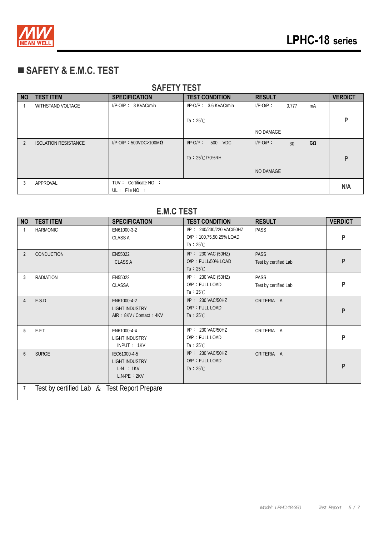

## **SAFETY & E.M.C. TEST**

| <b>NO</b>      | <b>TEST ITEM</b>            | <b>SPECIFICATION</b>             | <b>TEST CONDITION</b>    | <b>RESULT</b>                  | <b>VERDICT</b> |
|----------------|-----------------------------|----------------------------------|--------------------------|--------------------------------|----------------|
|                | WITHSTAND VOLTAGE           | $I/P-O/P$ : 3 KVAC/min           | $I/P-O/P$ : 3.6 KVAC/min | $I/P$ -O/P:<br>0.777<br>mA     |                |
|                |                             |                                  |                          |                                | P              |
|                |                             |                                  | Ta : $25^{\circ}$ C      |                                |                |
|                |                             |                                  |                          | NO DAMAGE                      |                |
| $\overline{2}$ | <b>ISOLATION RESISTANCE</b> | $I/P$ -O/P: 500VDC>100M $\Omega$ | $I/P-O/P$ :<br>500 VDC   | $I/P-O/P$ :<br>$G\Omega$<br>30 |                |
|                |                             |                                  |                          |                                |                |
|                |                             |                                  | Ta: 25°C/70%RH           |                                | P              |
|                |                             |                                  |                          | NO DAMAGE                      |                |
| 3              | APPROVAL                    | TUV: Certificate NO:             |                          |                                | N/A            |
|                |                             | $UL:$ File NO :                  |                          |                                |                |

## **E.M.C TEST**

| <b>NO</b>      | <b>TEST ITEM</b>                              | <b>SPECIFICATION</b>                                                    | <b>TEST CONDITION</b>                                                       | <b>RESULT</b>                        | <b>VERDICT</b> |  |  |
|----------------|-----------------------------------------------|-------------------------------------------------------------------------|-----------------------------------------------------------------------------|--------------------------------------|----------------|--|--|
| 1              | <b>HARMONIC</b>                               | EN61000-3-2<br><b>CLASS A</b>                                           | I/P: 240/230/220 VAC/50HZ<br>O/P: 100,75,50,25% LOAD<br>Ta : $25^{\circ}$ C | PASS                                 | P              |  |  |
| $\overline{2}$ | <b>CONDUCTION</b>                             | EN55022<br><b>CLASS A</b>                                               | $I/P$ : 230 VAC (50HZ)<br>O/P: FULL/50% LOAD<br>Ta : $25^{\circ}$ C         | <b>PASS</b><br>Test by certified Lab | P              |  |  |
| 3              | <b>RADIATION</b>                              | EN55022<br><b>CLASSA</b>                                                | I/P: 230 VAC (50HZ)<br>$O/P$ : FULL LOAD<br>Ta : $25^{\circ}$ C             | PASS<br>Test by certified Lab        | P              |  |  |
| $\overline{4}$ | E.S.D                                         | EN61000-4-2<br><b>LIGHT INDUSTRY</b><br>AIR: 8KV / Contact: 4KV         | $I/P$ : 230 VAC/50HZ<br>O/P: FULL LOAD<br>Ta : $25^{\circ}$ C               | CRITERIA A                           | P              |  |  |
| 5              | E.F.T                                         | EN61000-4-4<br><b>LIGHT INDUSTRY</b><br>INPUT: 1KV                      | I/P: 230 VAC/50HZ<br>O/P: FULL LOAD<br>Ta : $25^{\circ}$ C                  | CRITERIA A                           | P              |  |  |
| $6\phantom{1}$ | <b>SURGE</b>                                  | IEC61000-4-5<br><b>LIGHT INDUSTRY</b><br>$L-N$ : 1KV<br>$L, N-PE : 2KV$ | I/P: 230 VAC/50HZ<br>O/P: FULL LOAD<br>Ta : $25^{\circ}$ C                  | CRITERIA A                           | P              |  |  |
| 7              | Test by certified Lab $&$ Test Report Prepare |                                                                         |                                                                             |                                      |                |  |  |

#### **SAFETY TEST**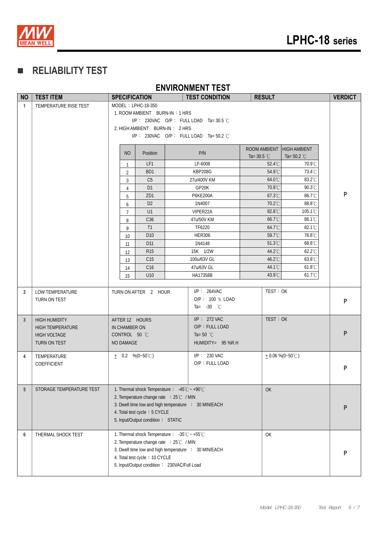

### **RELIABILITY TEST**

#### **ENVIRONMENT TEST**

| <b>NO</b>       | <b>TEST ITEM</b>                               | <b>SPECIFICATION</b>                                                         |                  | <b>TEST CONDITION</b>                                | <b>RESULT</b>        |                           | <b>VERDICT</b> |  |
|-----------------|------------------------------------------------|------------------------------------------------------------------------------|------------------|------------------------------------------------------|----------------------|---------------------------|----------------|--|
| $\mathbf{1}$    | TEMPERATURE RISE TEST                          | MODEL: LPHC-18-350                                                           |                  |                                                      |                      |                           |                |  |
|                 |                                                | 1. ROOM AMBIENT BURN-IN: 1 HRS                                               |                  |                                                      |                      |                           |                |  |
|                 |                                                |                                                                              |                  | I/P: 230VAC O/P: FULLLOAD Ta=30.5 °C                 |                      |                           |                |  |
|                 |                                                | 2. HIGH AMBIENT BURN-IN: 2 HRS                                               |                  |                                                      |                      |                           |                |  |
|                 |                                                |                                                                              |                  | I/P: 230VAC O/P: FULLLOAD Ta=50.2 °C                 |                      |                           |                |  |
|                 |                                                |                                                                              |                  |                                                      | ROOM AMBIENT         | <b>HIGH AMBIENT</b>       |                |  |
|                 |                                                | <b>NO</b>                                                                    | Position         | P/N                                                  | Ta= $30.5^{\circ}$ C | Ta= 50.2 $^{\circ}$ C     |                |  |
|                 |                                                | $\mathbf{1}$                                                                 | LF1              | LF-6008                                              | 52.4°C               | 70.9°C                    |                |  |
|                 |                                                | $\overline{2}$                                                               | B <sub>D</sub> 1 | KBP208G                                              | 54.9°C               | 73.4°C                    |                |  |
|                 |                                                | 3                                                                            | C <sub>5</sub>   | 27u/400V KM                                          | 64.0°C               | 83.2°C                    |                |  |
|                 |                                                | $\overline{4}$                                                               | D <sub>1</sub>   | GP20K                                                | 70.9°C               | 90.3°C                    |                |  |
|                 |                                                | 5                                                                            | ZD <sub>1</sub>  | P6KE200A                                             | $67.3^{\circ}$ C     | 86.7°C                    | P              |  |
|                 |                                                | 6                                                                            | D <sub>2</sub>   | 1N4007                                               | 70.2°C               | 88.8°C                    |                |  |
|                 |                                                | $\overline{7}$                                                               | U1               | VIPER22A                                             | 82.8°C               | 105.1°C                   |                |  |
|                 |                                                | 8                                                                            | C <sub>36</sub>  | 47u/50V KM                                           | 66.7°C               | 86.1°C                    |                |  |
|                 |                                                | 9                                                                            | T1               | TF6220                                               | $64.7^{\circ}$ C     | $82.1^{\circ}$ C          |                |  |
|                 |                                                | 10                                                                           | D <sub>10</sub>  | <b>HER306</b>                                        | 59.7°C               | 76.8°C                    |                |  |
|                 |                                                | 11                                                                           | D11              | 1N4148                                               | $51.3^{\circ}$ C     | 68.8°C                    |                |  |
|                 |                                                | 12                                                                           | <b>R15</b>       | 15K 1/2W                                             | 44.2°C               | $62.2^{\circ}$ C          |                |  |
|                 |                                                | 13                                                                           | C15              | 100u/63V GL                                          | 46.2°C               | 63.8°C                    |                |  |
|                 |                                                | 14                                                                           | C16              | 47u/63V GL                                           | 44.1°C               | $61.8^{\circ}$ C          |                |  |
|                 |                                                | 15                                                                           | U <sub>10</sub>  | HA17358B                                             | 43.9°C               | 61.7°C                    |                |  |
| $\overline{2}$  | LOW TEMPERATURE                                | TURN ON AFTER 2 HOUR                                                         |                  | $I/P$ : 264VAC                                       | TEST: OK             |                           |                |  |
|                 | TURN ON TEST                                   |                                                                              |                  | O/P: 100 % LOAD                                      |                      |                           | P              |  |
|                 |                                                |                                                                              |                  | Ta= $-30$ °C                                         |                      |                           |                |  |
|                 |                                                |                                                                              |                  | $I/P$ : 272 VAC                                      | TEST: OK             |                           |                |  |
| $\mathbf{3}$    | <b>HIGH HUMIDITY</b>                           | AFTER 12 HOURS                                                               |                  | O/P: FULL LOAD                                       |                      |                           |                |  |
|                 | <b>HIGH TEMPERATURE</b><br><b>HIGH VOLTAGE</b> | IN CHAMBER ON<br>CONTROL 50 °C                                               |                  | Ta=50 $^{\circ}$ C                                   |                      |                           | P              |  |
|                 | TURN ON TEST                                   | NO DAMAGE                                                                    |                  | $HUMIDITY = 95 % R.H$                                |                      |                           |                |  |
|                 |                                                |                                                                              |                  |                                                      |                      |                           |                |  |
| 4               | TEMPERATURE                                    | $+$ 0.2 %(0~50°C)                                                            |                  | $I/P: 230$ VAC                                       |                      | $+0.06\% (0-50^{\circ}C)$ |                |  |
|                 | COEFFICIENT                                    |                                                                              |                  | O/P: FULL LOAD                                       |                      |                           | P              |  |
|                 |                                                |                                                                              |                  |                                                      |                      |                           |                |  |
|                 |                                                |                                                                              |                  |                                                      |                      |                           |                |  |
| $5\phantom{.0}$ | STORAGE TEMPERATURE TEST                       | 1. Thermal shock Temperature: $-45^{\circ}\text{C} \sim +90^{\circ}\text{C}$ |                  |                                                      | OK                   |                           |                |  |
|                 |                                                | 2. Temperature change rate : 25℃ / MIN                                       |                  |                                                      |                      |                           |                |  |
|                 |                                                | 4. Total test cycle: 5 CYCLE                                                 |                  | 3. Dwell time low and high temperature : 30 MIN/EACH |                      |                           | P              |  |
|                 |                                                | 5. Input/Output condition: STATIC                                            |                  |                                                      |                      |                           |                |  |
|                 |                                                |                                                                              |                  |                                                      |                      |                           |                |  |
| 6               | THERMAL SHOCK TEST                             | 1. Thermal shock Temperature: -35℃ ~ +55℃                                    |                  |                                                      | OK                   |                           |                |  |
|                 |                                                | 2. Temperature change rate : 25℃ / MIN                                       |                  |                                                      |                      |                           |                |  |
|                 |                                                |                                                                              |                  | 3. Dwell time low and high temperature : 30 MIN/EACH |                      |                           | P              |  |
|                 |                                                | 4. Total test cycle: 10 CYCLE                                                |                  |                                                      |                      |                           |                |  |
|                 |                                                | 5. Input/Output condition: 230VAC/Full Load                                  |                  |                                                      |                      |                           |                |  |
|                 |                                                |                                                                              |                  |                                                      |                      |                           |                |  |